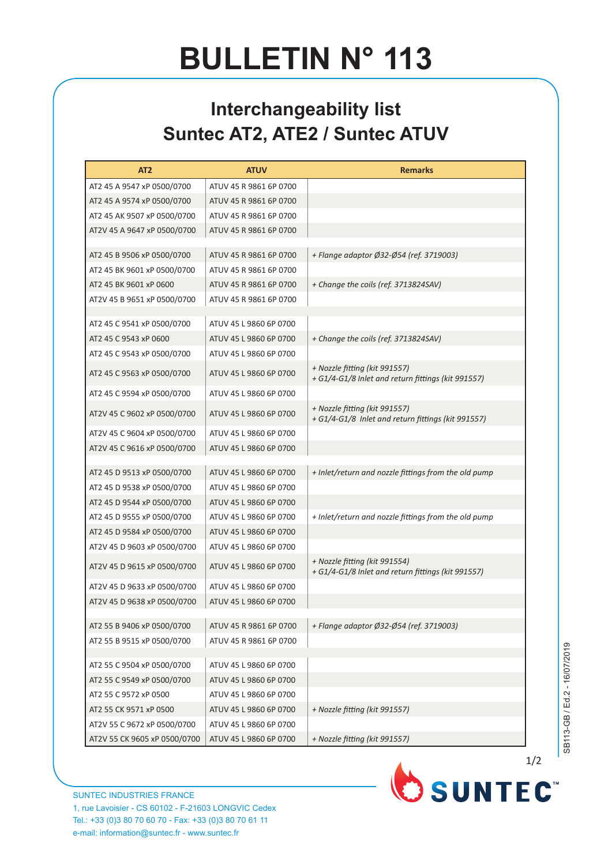## **BULLETIN N° 113**

## **Interchangeability list Suntec AT2, ATE2 / Suntec ATUV**

| AT <sub>2</sub>              | <b>ATUV</b>            | <b>Remarks</b>                                                                      |
|------------------------------|------------------------|-------------------------------------------------------------------------------------|
| AT2 45 A 9547 xP 0500/0700   | ATUV 45 R 9861 6P 0700 |                                                                                     |
| AT2 45 A 9574 xP 0500/0700   | ATUV 45 R 9861 6P 0700 |                                                                                     |
| AT2 45 AK 9507 xP 0500/0700  | ATUV 45 R 9861 6P 0700 |                                                                                     |
| AT2V 45 A 9647 xP 0500/0700  | ATUV 45 R 9861 6P 0700 |                                                                                     |
|                              |                        |                                                                                     |
| AT2 45 B 9506 xP 0500/0700   | ATUV 45 R 9861 6P 0700 | + Flange adaptor Ø32-Ø54 (ref. 3719003)                                             |
| AT2 45 BK 9601 xP 0500/0700  | ATUV 45 R 9861 6P 0700 |                                                                                     |
| AT2 45 BK 9601 xP 0600       | ATUV 45 R 9861 6P 0700 | + Change the coils (ref. 3713824SAV)                                                |
| AT2V 45 B 9651 xP 0500/0700  | ATUV 45 R 9861 6P 0700 |                                                                                     |
| AT2 45 C 9541 xP 0500/0700   | ATUV 45 L 9860 6P 0700 |                                                                                     |
| AT2 45 C 9543 xP 0600        | ATUV 45 L 9860 6P 0700 | + Change the coils (ref. 3713824SAV)                                                |
| AT2 45 C 9543 xP 0500/0700   | ATUV 45 L 9860 6P 0700 |                                                                                     |
| AT2 45 C 9563 xP 0500/0700   | ATUV 45 L 9860 6P 0700 | + Nozzle fitting (kit 991557)                                                       |
|                              |                        | + G1/4-G1/8 Inlet and return fittings (kit 991557)                                  |
| AT2 45 C 9594 xP 0500/0700   | ATUV 45 L 9860 6P 0700 |                                                                                     |
| AT2V 45 C 9602 xP 0500/0700  | ATUV 45 L 9860 6P 0700 | + Nozzle fitting (kit 991557)<br>+ G1/4-G1/8 Inlet and return fittings (kit 991557) |
| AT2V 45 C 9604 xP 0500/0700  | ATUV 45 L 9860 6P 0700 |                                                                                     |
| AT2V 45 C 9616 xP 0500/0700  | ATUV 45 L 9860 6P 0700 |                                                                                     |
| AT2 45 D 9513 xP 0500/0700   | ATUV 45 L 9860 6P 0700 | + Inlet/return and nozzle fittings from the old pump                                |
| AT2 45 D 9538 xP 0500/0700   | ATUV 45 L 9860 6P 0700 |                                                                                     |
| AT2 45 D 9544 xP 0500/0700   | ATUV 45 L 9860 6P 0700 |                                                                                     |
| AT2 45 D 9555 xP 0500/0700   | ATUV 45 L 9860 6P 0700 | + Inlet/return and nozzle fittings from the old pump                                |
| AT2 45 D 9584 xP 0500/0700   | ATUV 45 L 9860 6P 0700 |                                                                                     |
| AT2V 45 D 9603 xP 0500/0700  | ATUV 45 L 9860 6P 0700 |                                                                                     |
| AT2V 45 D 9615 xP 0500/0700  | ATUV 45 L 9860 6P 0700 | + Nozzle fitting (kit 991554)<br>+ G1/4-G1/8 Inlet and return fittings (kit 991557) |
| AT2V 45 D 9633 xP 0500/0700  | ATUV 45 L 9860 6P 0700 |                                                                                     |
| AT2V 45 D 9638 xP 0500/0700  | ATUV 45 L 9860 6P 0700 |                                                                                     |
|                              |                        |                                                                                     |
| AT2 55 B 9406 xP 0500/0700   | ATUV 45 R 9861 6P 0700 | + Flange adaptor Ø32-Ø54 (ref. 3719003)                                             |
| AT2 55 B 9515 xP 0500/0700   | ATUV 45 R 9861 6P 0700 |                                                                                     |
|                              |                        |                                                                                     |
| AT2 55 C 9504 xP 0500/0700   | ATUV 45 L 9860 6P 0700 |                                                                                     |
| AT2 55 C 9549 xP 0500/0700   | ATUV 45 L 9860 6P 0700 |                                                                                     |
| AT2 55 C 9572 xP 0500        | ATUV 45 L 9860 6P 0700 |                                                                                     |
| AT2 55 CK 9571 xP 0500       | ATUV 45 L 9860 6P 0700 | + Nozzle fitting (kit 991557)                                                       |
| AT2V 55 C 9672 xP 0500/0700  | ATUV 45 L 9860 6P 0700 |                                                                                     |
| AT2V 55 CK 9605 xP 0500/0700 | ATUV 45 L 9860 6P 0700 | + Nozzle fitting (kit 991557)                                                       |

1/2

OSUNTEC<sup>®</sup>

SUNTEC INDUSTRIES FRANCE 1, rue Lavoisier - CS 60102 - F-21603 LONGVIC Cedex Tel.: +33 (0)3 80 70 60 70 - Fax: +33 (0)3 80 70 61 11 e-mail: information@suntec.fr - www.suntec.fr